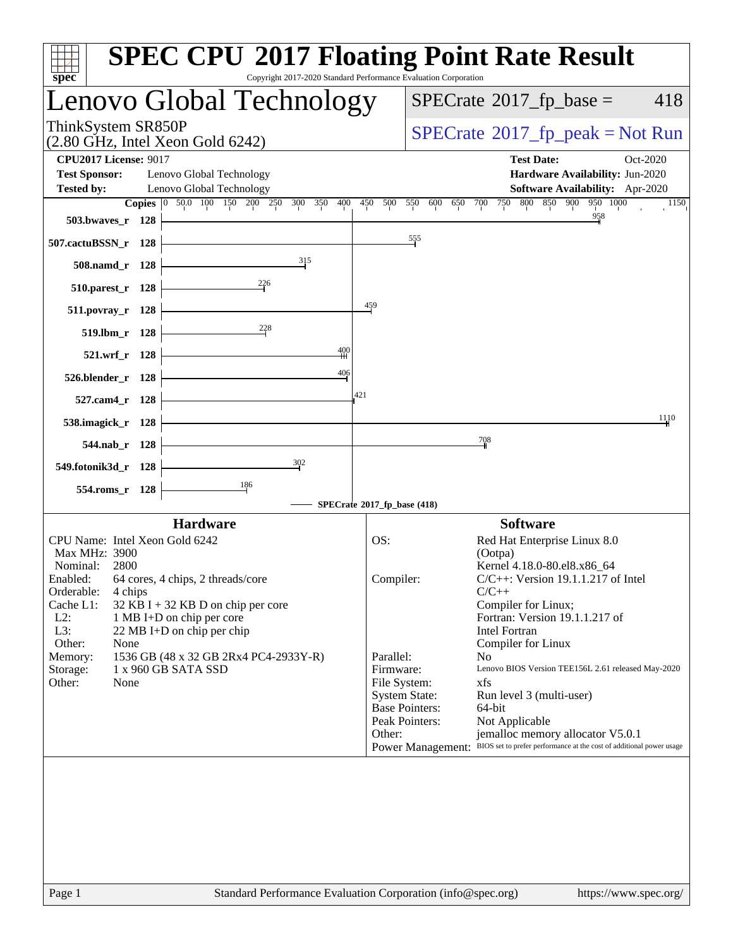| spec <sup>®</sup>                                    | <b>SPEC CPU®2017 Floating Point Rate Result</b>                   | Copyright 2017-2020 Standard Performance Evaluation Corporation |                             |                       |                                                 |                                                                                                                            |          |
|------------------------------------------------------|-------------------------------------------------------------------|-----------------------------------------------------------------|-----------------------------|-----------------------|-------------------------------------------------|----------------------------------------------------------------------------------------------------------------------------|----------|
|                                                      | Lenovo Global Technology                                          |                                                                 |                             |                       | $SPECrate^{\circ}2017$ _fp_base =               |                                                                                                                            | 418      |
| ThinkSystem SR850P                                   | (2.80 GHz, Intel Xeon Gold 6242)                                  |                                                                 |                             |                       |                                                 | $SPECTate@2017_fp\_peak = Not Run$                                                                                         |          |
| <b>CPU2017 License: 9017</b><br><b>Test Sponsor:</b> | Lenovo Global Technology                                          |                                                                 |                             |                       | <b>Test Date:</b>                               | Hardware Availability: Jun-2020                                                                                            | Oct-2020 |
| <b>Tested by:</b>                                    | Lenovo Global Technology                                          |                                                                 |                             |                       |                                                 | Software Availability: Apr-2020                                                                                            |          |
|                                                      | Copies 0 50.0 100 150 200 250 300 350 400 450 500 550 600 650 700 |                                                                 |                             |                       | 750 800                                         | 850 900 950 1000                                                                                                           | 1150     |
| 503.bwayes_r 128                                     |                                                                   |                                                                 |                             |                       |                                                 | 958                                                                                                                        |          |
| 507.cactuBSSN_r 128                                  |                                                                   |                                                                 |                             | 555                   |                                                 |                                                                                                                            |          |
| 508.namd_r 128                                       |                                                                   | 315                                                             |                             |                       |                                                 |                                                                                                                            |          |
| 510.parest_r 128                                     | $\frac{226}{ }$                                                   |                                                                 |                             |                       |                                                 |                                                                                                                            |          |
| 511.povray_r 128                                     |                                                                   |                                                                 | $\frac{459}{5}$             |                       |                                                 |                                                                                                                            |          |
| 519.lbm_r 128                                        | $\frac{228}{5}$                                                   |                                                                 |                             |                       |                                                 |                                                                                                                            |          |
| 521.wrf_r 128                                        |                                                                   | $\frac{400}{4}$                                                 |                             |                       |                                                 |                                                                                                                            |          |
| 526.blender_r 128                                    |                                                                   | $\frac{406}{1}$                                                 |                             |                       |                                                 |                                                                                                                            |          |
| 527.cam4_r 128                                       |                                                                   |                                                                 | 421                         |                       |                                                 |                                                                                                                            |          |
| 538.imagick_r 128                                    |                                                                   |                                                                 |                             |                       |                                                 |                                                                                                                            | 1110     |
| 544.nab_r 128                                        |                                                                   |                                                                 |                             |                       | 708                                             |                                                                                                                            |          |
| 549.fotonik3d_r 128                                  |                                                                   | $\frac{302}{2}$                                                 |                             |                       |                                                 |                                                                                                                            |          |
| 554.roms_r 128                                       | $\frac{186}{1}$                                                   |                                                                 |                             |                       |                                                 |                                                                                                                            |          |
|                                                      |                                                                   |                                                                 | SPECrate®2017_fp_base (418) |                       |                                                 |                                                                                                                            |          |
| CPU Name: Intel Xeon Gold 6242                       | <b>Hardware</b>                                                   |                                                                 | OS:                         |                       | <b>Software</b><br>Red Hat Enterprise Linux 8.0 |                                                                                                                            |          |
| Max MHz: 3900                                        |                                                                   |                                                                 |                             |                       | (Ootpa)                                         |                                                                                                                            |          |
| Nominal:<br>2800                                     | Enabled: 64 cores, 4 chips, 2 threads/core                        |                                                                 | Compiler:                   |                       | Kernel 4.18.0-80.el8.x86_64                     | $C/C++$ : Version 19.1.1.217 of Intel                                                                                      |          |
| Orderable:<br>4 chips                                |                                                                   |                                                                 |                             |                       | $C/C++$                                         |                                                                                                                            |          |
| Cache L1:<br>$L2$ :                                  | $32$ KB I + 32 KB D on chip per core<br>1 MB I+D on chip per core |                                                                 |                             |                       | Compiler for Linux;                             | Fortran: Version 19.1.1.217 of                                                                                             |          |
| L3:                                                  | 22 MB I+D on chip per chip                                        |                                                                 |                             |                       | Intel Fortran                                   |                                                                                                                            |          |
| Other:<br>None<br>Memory:                            | 1536 GB (48 x 32 GB 2Rx4 PC4-2933Y-R)                             |                                                                 | Parallel:                   |                       | Compiler for Linux<br>N <sub>0</sub>            |                                                                                                                            |          |
| Storage:                                             | 1 x 960 GB SATA SSD                                               |                                                                 | Firmware:                   |                       |                                                 | Lenovo BIOS Version TEE156L 2.61 released May-2020                                                                         |          |
| Other:<br>None                                       |                                                                   |                                                                 | File System:                | <b>System State:</b>  | xfs<br>Run level 3 (multi-user)                 |                                                                                                                            |          |
|                                                      |                                                                   |                                                                 |                             | <b>Base Pointers:</b> | 64-bit                                          |                                                                                                                            |          |
|                                                      |                                                                   |                                                                 |                             | Peak Pointers:        | Not Applicable                                  |                                                                                                                            |          |
|                                                      |                                                                   |                                                                 | Other:                      |                       |                                                 | jemalloc memory allocator V5.0.1<br>Power Management: BIOS set to prefer performance at the cost of additional power usage |          |
|                                                      |                                                                   |                                                                 |                             |                       |                                                 |                                                                                                                            |          |
|                                                      |                                                                   |                                                                 |                             |                       |                                                 |                                                                                                                            |          |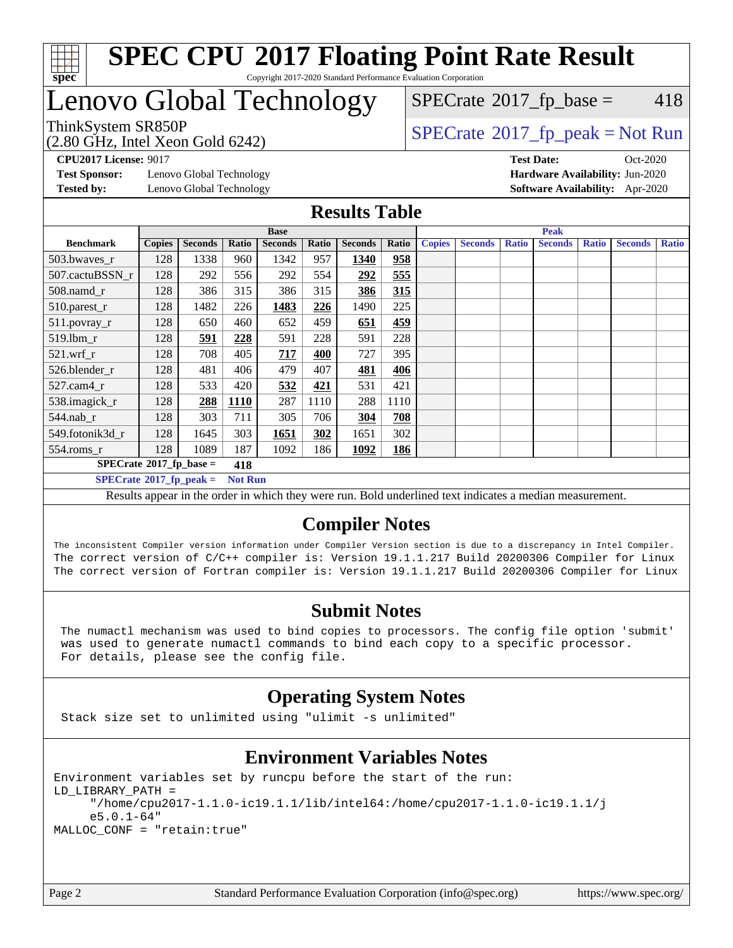

## Lenovo Global Technology

(2.80 GHz, Intel Xeon Gold 6242)

 $SPECTate@2017<sub>fr</sub> base = 418$ 

### ThinkSystem SR850P<br>  $\begin{array}{c}\n\text{ShinkSystem SRS50P} \\
\text{SPEC rate} \textcirc 2017\_fp\_peak = Not Run\n\end{array}$

**[CPU2017 License:](http://www.spec.org/auto/cpu2017/Docs/result-fields.html#CPU2017License)** 9017 **[Test Date:](http://www.spec.org/auto/cpu2017/Docs/result-fields.html#TestDate)** Oct-2020

**[Test Sponsor:](http://www.spec.org/auto/cpu2017/Docs/result-fields.html#TestSponsor)** Lenovo Global Technology **[Hardware Availability:](http://www.spec.org/auto/cpu2017/Docs/result-fields.html#HardwareAvailability)** Jun-2020 **[Tested by:](http://www.spec.org/auto/cpu2017/Docs/result-fields.html#Testedby)** Lenovo Global Technology **[Software Availability:](http://www.spec.org/auto/cpu2017/Docs/result-fields.html#SoftwareAvailability)** Apr-2020

#### **[Results Table](http://www.spec.org/auto/cpu2017/Docs/result-fields.html#ResultsTable)**

| <b>Base</b>                                         |                |       |                |       | <b>Peak</b>    |       |               |                |                      |                |               |                |              |
|-----------------------------------------------------|----------------|-------|----------------|-------|----------------|-------|---------------|----------------|----------------------|----------------|---------------|----------------|--------------|
| <b>Copies</b>                                       | <b>Seconds</b> | Ratio | <b>Seconds</b> | Ratio | <b>Seconds</b> | Ratio | <b>Copies</b> | <b>Seconds</b> | <b>Ratio</b>         | <b>Seconds</b> | <b>Ratio</b>  | <b>Seconds</b> | <b>Ratio</b> |
| 128                                                 | 1338           | 960   | 1342           | 957   | 1340           | 958   |               |                |                      |                |               |                |              |
| 128                                                 | 292            | 556   | 292            | 554   | 292            | 555   |               |                |                      |                |               |                |              |
| 128                                                 | 386            | 315   | 386            | 315   | 386            | 315   |               |                |                      |                |               |                |              |
| 128                                                 | 1482           | 226   | 1483           | 226   | 1490           | 225   |               |                |                      |                |               |                |              |
| 128                                                 | 650            | 460   | 652            | 459   | 651            | 459   |               |                |                      |                |               |                |              |
| 128                                                 | 591            | 228   | 591            | 228   | 591            | 228   |               |                |                      |                |               |                |              |
| 128                                                 | 708            | 405   | 717            | 400   | 727            | 395   |               |                |                      |                |               |                |              |
| 128                                                 | 481            | 406   | 479            | 407   | 481            | 406   |               |                |                      |                |               |                |              |
| 128                                                 | 533            | 420   | 532            | 421   | 531            | 421   |               |                |                      |                |               |                |              |
| 128                                                 | 288            | 1110  | 287            | 1110  | 288            | 1110  |               |                |                      |                |               |                |              |
| 128                                                 | 303            | 711   | 305            | 706   | 304            | 708   |               |                |                      |                |               |                |              |
| 128                                                 | 1645           | 303   | 1651           | 302   | 1651           | 302   |               |                |                      |                |               |                |              |
| 128                                                 | 1089           | 187   | 1092           | 186   | 1092           | 186   |               |                |                      |                |               |                |              |
| $SPECrate*2017_fp\_base =$<br>418                   |                |       |                |       |                |       |               |                |                      |                |               |                |              |
| $SPECrate^{\circ}2017_fp\_peak =$<br><b>Not Run</b> |                |       |                |       |                |       |               |                |                      |                |               |                |              |
|                                                     |                |       |                |       |                |       | _ _           | .              | $\sim$ $\sim$ $\sim$ |                | $\sim$ $\sim$ |                |              |

Results appear in the [order in which they were run](http://www.spec.org/auto/cpu2017/Docs/result-fields.html#RunOrder). Bold underlined text [indicates a median measurement.](http://www.spec.org/auto/cpu2017/Docs/result-fields.html#Median)

### **[Compiler Notes](http://www.spec.org/auto/cpu2017/Docs/result-fields.html#CompilerNotes)**

The inconsistent Compiler version information under Compiler Version section is due to a discrepancy in Intel Compiler. The correct version of C/C++ compiler is: Version 19.1.1.217 Build 20200306 Compiler for Linux The correct version of Fortran compiler is: Version 19.1.1.217 Build 20200306 Compiler for Linux

### **[Submit Notes](http://www.spec.org/auto/cpu2017/Docs/result-fields.html#SubmitNotes)**

 The numactl mechanism was used to bind copies to processors. The config file option 'submit' was used to generate numactl commands to bind each copy to a specific processor. For details, please see the config file.

### **[Operating System Notes](http://www.spec.org/auto/cpu2017/Docs/result-fields.html#OperatingSystemNotes)**

Stack size set to unlimited using "ulimit -s unlimited"

### **[Environment Variables Notes](http://www.spec.org/auto/cpu2017/Docs/result-fields.html#EnvironmentVariablesNotes)**

Environment variables set by runcpu before the start of the run: LD\_LIBRARY\_PATH = "/home/cpu2017-1.1.0-ic19.1.1/lib/intel64:/home/cpu2017-1.1.0-ic19.1.1/j e5.0.1-64" MALLOC\_CONF = "retain:true"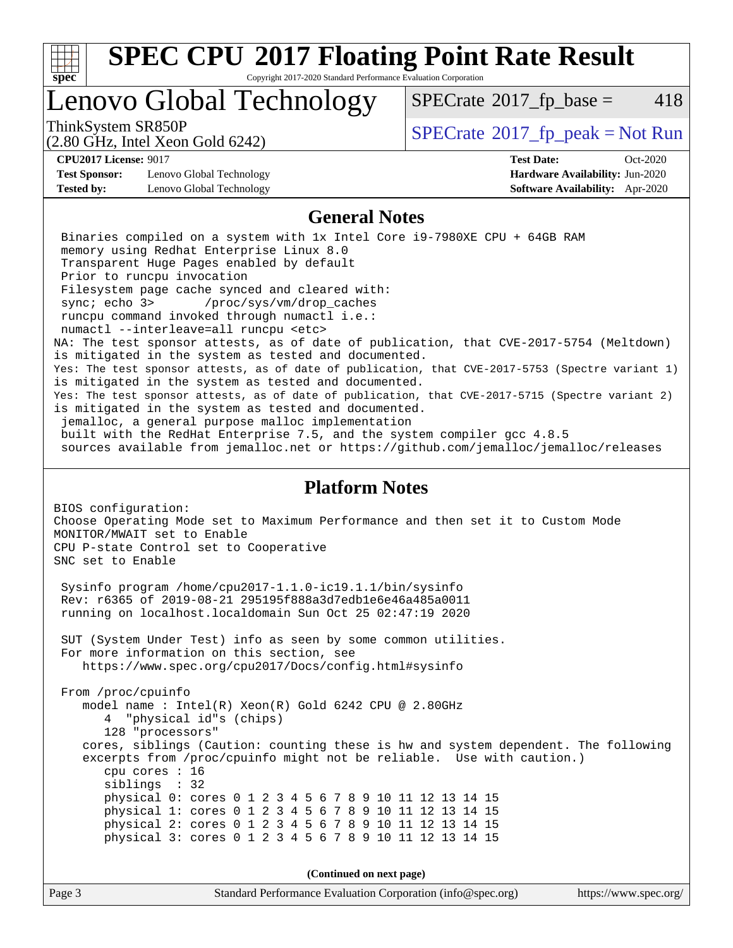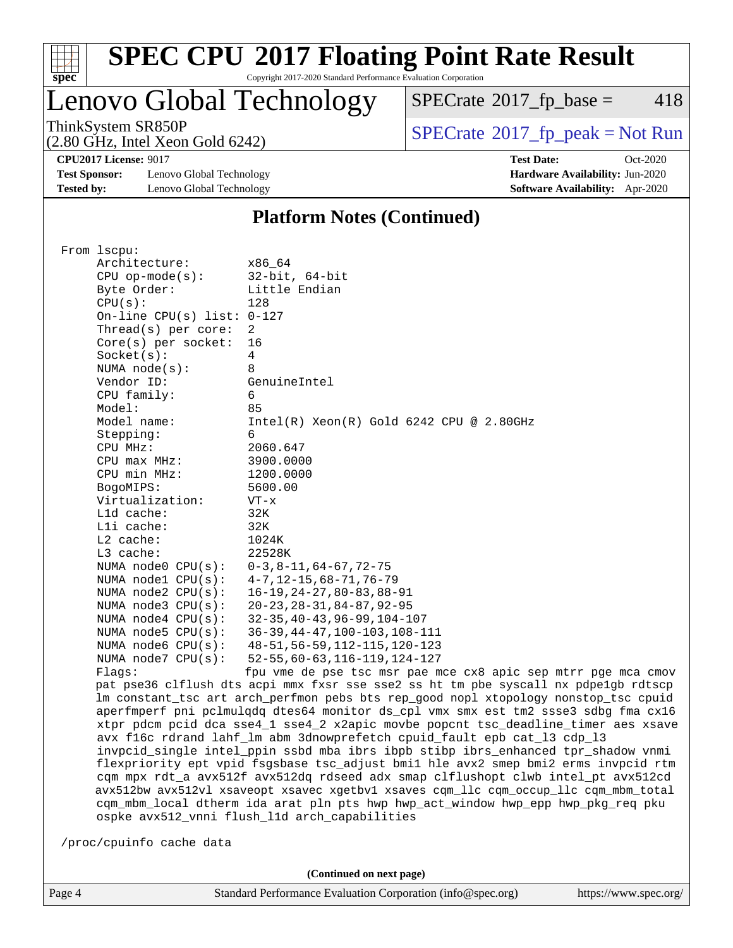

# **[SPEC CPU](http://www.spec.org/auto/cpu2017/Docs/result-fields.html#SPECCPU2017FloatingPointRateResult)[2017 Floating Point Rate Result](http://www.spec.org/auto/cpu2017/Docs/result-fields.html#SPECCPU2017FloatingPointRateResult)**

Copyright 2017-2020 Standard Performance Evaluation Corporation

Lenovo Global Technology

 $SPECTate@2017_fp\_base = 418$ 

(2.80 GHz, Intel Xeon Gold 6242)

ThinkSystem SR850P<br>  $(2.80 \text{ GHz})$  Intel Xeon Gold 6242)

**[CPU2017 License:](http://www.spec.org/auto/cpu2017/Docs/result-fields.html#CPU2017License)** 9017 **[Test Date:](http://www.spec.org/auto/cpu2017/Docs/result-fields.html#TestDate)** Oct-2020

**[Test Sponsor:](http://www.spec.org/auto/cpu2017/Docs/result-fields.html#TestSponsor)** Lenovo Global Technology **[Hardware Availability:](http://www.spec.org/auto/cpu2017/Docs/result-fields.html#HardwareAvailability)** Jun-2020 **[Tested by:](http://www.spec.org/auto/cpu2017/Docs/result-fields.html#Testedby)** Lenovo Global Technology **[Software Availability:](http://www.spec.org/auto/cpu2017/Docs/result-fields.html#SoftwareAvailability)** Apr-2020

#### **[Platform Notes \(Continued\)](http://www.spec.org/auto/cpu2017/Docs/result-fields.html#PlatformNotes)**

|  | From 1scpu:                                                                                                                                                                                                                                                                                                                                                                                                                                                                                                                                                                                                                                                                                     |                                                                                     |  |  |  |  |  |
|--|-------------------------------------------------------------------------------------------------------------------------------------------------------------------------------------------------------------------------------------------------------------------------------------------------------------------------------------------------------------------------------------------------------------------------------------------------------------------------------------------------------------------------------------------------------------------------------------------------------------------------------------------------------------------------------------------------|-------------------------------------------------------------------------------------|--|--|--|--|--|
|  | Architecture:                                                                                                                                                                                                                                                                                                                                                                                                                                                                                                                                                                                                                                                                                   | x86_64                                                                              |  |  |  |  |  |
|  | $CPU$ op-mode( $s$ ):                                                                                                                                                                                                                                                                                                                                                                                                                                                                                                                                                                                                                                                                           | $32$ -bit, $64$ -bit                                                                |  |  |  |  |  |
|  | Byte Order:                                                                                                                                                                                                                                                                                                                                                                                                                                                                                                                                                                                                                                                                                     | Little Endian                                                                       |  |  |  |  |  |
|  | CPU(s):                                                                                                                                                                                                                                                                                                                                                                                                                                                                                                                                                                                                                                                                                         | 128                                                                                 |  |  |  |  |  |
|  | On-line CPU(s) list: $0-127$                                                                                                                                                                                                                                                                                                                                                                                                                                                                                                                                                                                                                                                                    |                                                                                     |  |  |  |  |  |
|  | Thread(s) per core:                                                                                                                                                                                                                                                                                                                                                                                                                                                                                                                                                                                                                                                                             | 2                                                                                   |  |  |  |  |  |
|  | $Core(s)$ per socket:                                                                                                                                                                                                                                                                                                                                                                                                                                                                                                                                                                                                                                                                           | 16                                                                                  |  |  |  |  |  |
|  | Socket(s):                                                                                                                                                                                                                                                                                                                                                                                                                                                                                                                                                                                                                                                                                      | $\overline{4}$                                                                      |  |  |  |  |  |
|  | NUMA $node(s)$ :                                                                                                                                                                                                                                                                                                                                                                                                                                                                                                                                                                                                                                                                                | 8                                                                                   |  |  |  |  |  |
|  | Vendor ID:                                                                                                                                                                                                                                                                                                                                                                                                                                                                                                                                                                                                                                                                                      | GenuineIntel                                                                        |  |  |  |  |  |
|  | CPU family:                                                                                                                                                                                                                                                                                                                                                                                                                                                                                                                                                                                                                                                                                     | 6                                                                                   |  |  |  |  |  |
|  | Model:                                                                                                                                                                                                                                                                                                                                                                                                                                                                                                                                                                                                                                                                                          | 85                                                                                  |  |  |  |  |  |
|  | Model name:                                                                                                                                                                                                                                                                                                                                                                                                                                                                                                                                                                                                                                                                                     | $Intel(R) Xeon(R) Gold 6242 CPU @ 2.80GHz$                                          |  |  |  |  |  |
|  | Stepping:                                                                                                                                                                                                                                                                                                                                                                                                                                                                                                                                                                                                                                                                                       | 6                                                                                   |  |  |  |  |  |
|  | CPU MHz:                                                                                                                                                                                                                                                                                                                                                                                                                                                                                                                                                                                                                                                                                        | 2060.647                                                                            |  |  |  |  |  |
|  | $CPU$ max $MHz$ :                                                                                                                                                                                                                                                                                                                                                                                                                                                                                                                                                                                                                                                                               | 3900.0000                                                                           |  |  |  |  |  |
|  | CPU min MHz:                                                                                                                                                                                                                                                                                                                                                                                                                                                                                                                                                                                                                                                                                    | 1200.0000                                                                           |  |  |  |  |  |
|  | BogoMIPS:                                                                                                                                                                                                                                                                                                                                                                                                                                                                                                                                                                                                                                                                                       | 5600.00                                                                             |  |  |  |  |  |
|  | Virtualization:                                                                                                                                                                                                                                                                                                                                                                                                                                                                                                                                                                                                                                                                                 | VT-x                                                                                |  |  |  |  |  |
|  | L1d cache:                                                                                                                                                                                                                                                                                                                                                                                                                                                                                                                                                                                                                                                                                      | 32K                                                                                 |  |  |  |  |  |
|  | Lli cache:                                                                                                                                                                                                                                                                                                                                                                                                                                                                                                                                                                                                                                                                                      | 32K                                                                                 |  |  |  |  |  |
|  | $L2$ cache:                                                                                                                                                                                                                                                                                                                                                                                                                                                                                                                                                                                                                                                                                     | 1024K                                                                               |  |  |  |  |  |
|  | L3 cache:                                                                                                                                                                                                                                                                                                                                                                                                                                                                                                                                                                                                                                                                                       | 22528K                                                                              |  |  |  |  |  |
|  | NUMA $node0$ $CPU(s)$ :                                                                                                                                                                                                                                                                                                                                                                                                                                                                                                                                                                                                                                                                         | $0-3, 8-11, 64-67, 72-75$                                                           |  |  |  |  |  |
|  | NUMA nodel CPU(s):                                                                                                                                                                                                                                                                                                                                                                                                                                                                                                                                                                                                                                                                              | $4 - 7, 12 - 15, 68 - 71, 76 - 79$                                                  |  |  |  |  |  |
|  | NUMA $node2$ $CPU(s)$ :                                                                                                                                                                                                                                                                                                                                                                                                                                                                                                                                                                                                                                                                         | $16 - 19, 24 - 27, 80 - 83, 88 - 91$                                                |  |  |  |  |  |
|  | NUMA node3 CPU(s):                                                                                                                                                                                                                                                                                                                                                                                                                                                                                                                                                                                                                                                                              | $20 - 23, 28 - 31, 84 - 87, 92 - 95$                                                |  |  |  |  |  |
|  | NUMA $node4$ $CPU(s):$                                                                                                                                                                                                                                                                                                                                                                                                                                                                                                                                                                                                                                                                          | $32 - 35, 40 - 43, 96 - 99, 104 - 107$                                              |  |  |  |  |  |
|  | NUMA $node5$ $CPU(s)$ :                                                                                                                                                                                                                                                                                                                                                                                                                                                                                                                                                                                                                                                                         | $36-39, 44-47, 100-103, 108-111$                                                    |  |  |  |  |  |
|  | NUMA node6 $CPU(s):$                                                                                                                                                                                                                                                                                                                                                                                                                                                                                                                                                                                                                                                                            | 48-51, 56-59, 112-115, 120-123                                                      |  |  |  |  |  |
|  | NUMA $node7$ CPU $(s)$ :                                                                                                                                                                                                                                                                                                                                                                                                                                                                                                                                                                                                                                                                        | $52 - 55, 60 - 63, 116 - 119, 124 - 127$                                            |  |  |  |  |  |
|  | Flags:                                                                                                                                                                                                                                                                                                                                                                                                                                                                                                                                                                                                                                                                                          | fpu vme de pse tsc msr pae mce cx8 apic sep mtrr pge mca cmov                       |  |  |  |  |  |
|  |                                                                                                                                                                                                                                                                                                                                                                                                                                                                                                                                                                                                                                                                                                 | pat pse36 clflush dts acpi mmx fxsr sse sse2 ss ht tm pbe syscall nx pdpelgb rdtscp |  |  |  |  |  |
|  | lm constant_tsc art arch_perfmon pebs bts rep_good nopl xtopology nonstop_tsc cpuid<br>aperfmperf pni pclmulqdq dtes64 monitor ds_cpl vmx smx est tm2 ssse3 sdbg fma cx16<br>xtpr pdcm pcid dca sse4_1 sse4_2 x2apic movbe popcnt tsc_deadline_timer aes xsave<br>avx f16c rdrand lahf_lm abm 3dnowprefetch cpuid_fault epb cat_13 cdp_13<br>invpcid_single intel_ppin ssbd mba ibrs ibpb stibp ibrs_enhanced tpr_shadow vnmi<br>flexpriority ept vpid fsgsbase tsc_adjust bmil hle avx2 smep bmi2 erms invpcid rtm<br>cqm mpx rdt_a avx512f avx512dq rdseed adx smap clflushopt clwb intel_pt avx512cd<br>avx512bw avx512vl xsaveopt xsavec xgetbvl xsaves cqm_llc cqm_occup_llc cqm_mbm_total |                                                                                     |  |  |  |  |  |
|  |                                                                                                                                                                                                                                                                                                                                                                                                                                                                                                                                                                                                                                                                                                 |                                                                                     |  |  |  |  |  |
|  |                                                                                                                                                                                                                                                                                                                                                                                                                                                                                                                                                                                                                                                                                                 |                                                                                     |  |  |  |  |  |
|  |                                                                                                                                                                                                                                                                                                                                                                                                                                                                                                                                                                                                                                                                                                 |                                                                                     |  |  |  |  |  |
|  |                                                                                                                                                                                                                                                                                                                                                                                                                                                                                                                                                                                                                                                                                                 |                                                                                     |  |  |  |  |  |
|  |                                                                                                                                                                                                                                                                                                                                                                                                                                                                                                                                                                                                                                                                                                 |                                                                                     |  |  |  |  |  |
|  |                                                                                                                                                                                                                                                                                                                                                                                                                                                                                                                                                                                                                                                                                                 |                                                                                     |  |  |  |  |  |
|  |                                                                                                                                                                                                                                                                                                                                                                                                                                                                                                                                                                                                                                                                                                 | cqm_mbm_local dtherm ida arat pln pts hwp hwp_act_window hwp_epp hwp_pkg_req pku    |  |  |  |  |  |
|  |                                                                                                                                                                                                                                                                                                                                                                                                                                                                                                                                                                                                                                                                                                 | ospke avx512_vnni flush_l1d arch_capabilities                                       |  |  |  |  |  |
|  |                                                                                                                                                                                                                                                                                                                                                                                                                                                                                                                                                                                                                                                                                                 |                                                                                     |  |  |  |  |  |
|  | /proc/cpuinfo cache data                                                                                                                                                                                                                                                                                                                                                                                                                                                                                                                                                                                                                                                                        |                                                                                     |  |  |  |  |  |
|  |                                                                                                                                                                                                                                                                                                                                                                                                                                                                                                                                                                                                                                                                                                 |                                                                                     |  |  |  |  |  |
|  |                                                                                                                                                                                                                                                                                                                                                                                                                                                                                                                                                                                                                                                                                                 |                                                                                     |  |  |  |  |  |

**(Continued on next page)**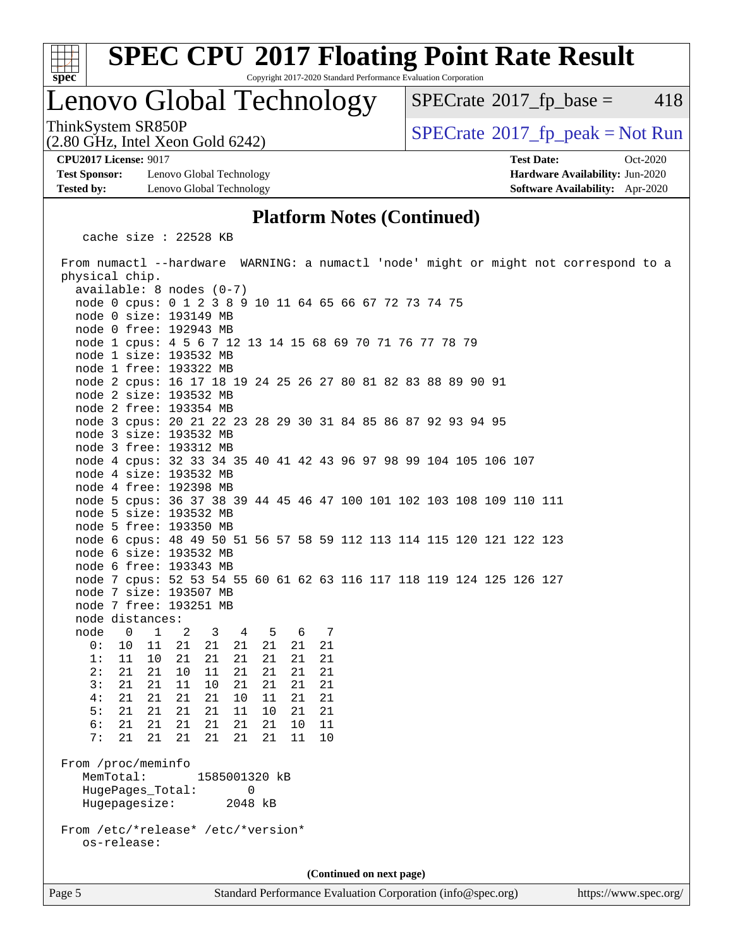

# **[SPEC CPU](http://www.spec.org/auto/cpu2017/Docs/result-fields.html#SPECCPU2017FloatingPointRateResult)[2017 Floating Point Rate Result](http://www.spec.org/auto/cpu2017/Docs/result-fields.html#SPECCPU2017FloatingPointRateResult)**

Copyright 2017-2020 Standard Performance Evaluation Corporation

### Lenovo Global Technology

 $SPECTate@2017<sub>fr</sub> base = 418$ 

(2.80 GHz, Intel Xeon Gold 6242)

**[Test Sponsor:](http://www.spec.org/auto/cpu2017/Docs/result-fields.html#TestSponsor)** Lenovo Global Technology **[Hardware Availability:](http://www.spec.org/auto/cpu2017/Docs/result-fields.html#HardwareAvailability)** Jun-2020 **[Tested by:](http://www.spec.org/auto/cpu2017/Docs/result-fields.html#Testedby)** Lenovo Global Technology **[Software Availability:](http://www.spec.org/auto/cpu2017/Docs/result-fields.html#SoftwareAvailability)** Apr-2020

ThinkSystem SR850P<br>(2.80 GHz, Intel Xeon Gold 6242)  $\vert$  [SPECrate](http://www.spec.org/auto/cpu2017/Docs/result-fields.html#SPECrate2017fppeak)®[2017\\_fp\\_peak = N](http://www.spec.org/auto/cpu2017/Docs/result-fields.html#SPECrate2017fppeak)ot Run

**[CPU2017 License:](http://www.spec.org/auto/cpu2017/Docs/result-fields.html#CPU2017License)** 9017 **[Test Date:](http://www.spec.org/auto/cpu2017/Docs/result-fields.html#TestDate)** Oct-2020

#### **[Platform Notes \(Continued\)](http://www.spec.org/auto/cpu2017/Docs/result-fields.html#PlatformNotes)**

cache size : 22528 KB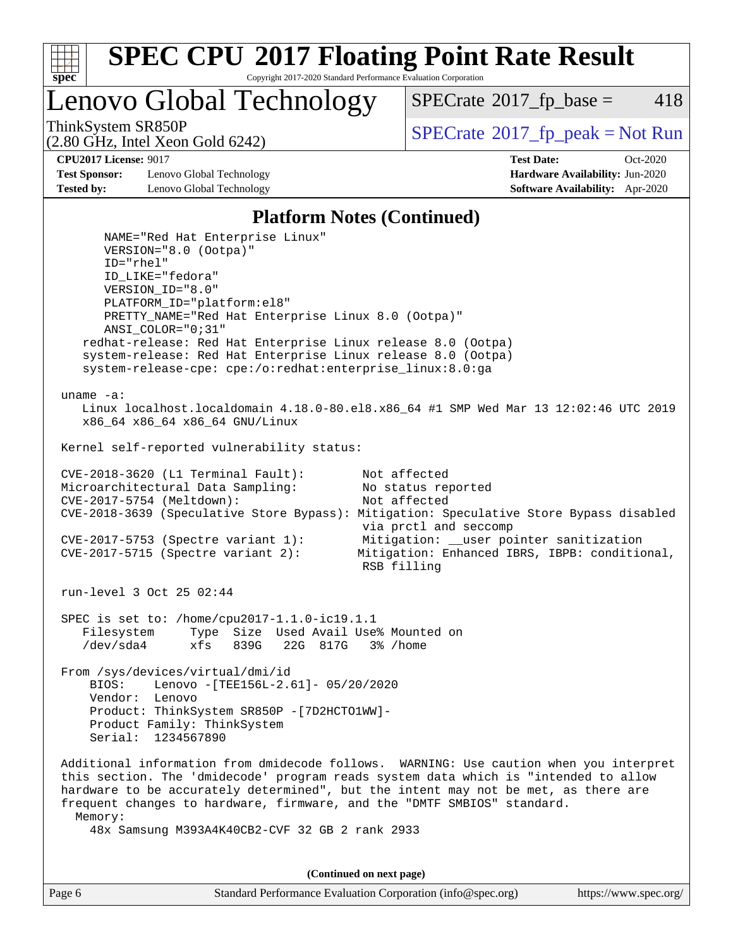

Lenovo Global Technology

 $SPECTate@2017<sub>fr</sub> base = 418$ 

(2.80 GHz, Intel Xeon Gold 6242)

ThinkSystem SR850P<br>  $SPECTI<sub>2</sub>$  [SPECrate](http://www.spec.org/auto/cpu2017/Docs/result-fields.html#SPECrate2017fppeak)®[2017\\_fp\\_peak = N](http://www.spec.org/auto/cpu2017/Docs/result-fields.html#SPECrate2017fppeak)ot Run

**[Test Sponsor:](http://www.spec.org/auto/cpu2017/Docs/result-fields.html#TestSponsor)** Lenovo Global Technology **[Hardware Availability:](http://www.spec.org/auto/cpu2017/Docs/result-fields.html#HardwareAvailability)** Jun-2020 **[Tested by:](http://www.spec.org/auto/cpu2017/Docs/result-fields.html#Testedby)** Lenovo Global Technology **[Software Availability:](http://www.spec.org/auto/cpu2017/Docs/result-fields.html#SoftwareAvailability)** Apr-2020

**[CPU2017 License:](http://www.spec.org/auto/cpu2017/Docs/result-fields.html#CPU2017License)** 9017 **[Test Date:](http://www.spec.org/auto/cpu2017/Docs/result-fields.html#TestDate)** Oct-2020

#### **[Platform Notes \(Continued\)](http://www.spec.org/auto/cpu2017/Docs/result-fields.html#PlatformNotes)**

 NAME="Red Hat Enterprise Linux" VERSION="8.0 (Ootpa)" ID="rhel" ID\_LIKE="fedora" VERSION\_ID="8.0" PLATFORM\_ID="platform:el8" PRETTY\_NAME="Red Hat Enterprise Linux 8.0 (Ootpa)" ANSI\_COLOR="0;31" redhat-release: Red Hat Enterprise Linux release 8.0 (Ootpa) system-release: Red Hat Enterprise Linux release 8.0 (Ootpa) system-release-cpe: cpe:/o:redhat:enterprise\_linux:8.0:ga uname -a: Linux localhost.localdomain 4.18.0-80.el8.x86\_64 #1 SMP Wed Mar 13 12:02:46 UTC 2019 x86\_64 x86\_64 x86\_64 GNU/Linux Kernel self-reported vulnerability status: CVE-2018-3620 (L1 Terminal Fault): Not affected<br>Microarchitectural Data Sampling: No status reported Microarchitectural Data Sampling: CVE-2017-5754 (Meltdown): Not affected CVE-2018-3639 (Speculative Store Bypass): Mitigation: Speculative Store Bypass disabled via prctl and seccomp CVE-2017-5753 (Spectre variant 1): Mitigation: \_\_user pointer sanitization CVE-2017-5715 (Spectre variant 2): Mitigation: Enhanced IBRS, IBPB: conditional, RSB filling run-level 3 Oct 25 02:44 SPEC is set to: /home/cpu2017-1.1.0-ic19.1.1 Filesystem Type Size Used Avail Use% Mounted on /dev/sda4 xfs 839G 22G 817G 3% /home From /sys/devices/virtual/dmi/id BIOS: Lenovo -[TEE156L-2.61]- 05/20/2020 Vendor: Lenovo Product: ThinkSystem SR850P -[7D2HCTO1WW]- Product Family: ThinkSystem Serial: 1234567890 Additional information from dmidecode follows. WARNING: Use caution when you interpret this section. The 'dmidecode' program reads system data which is "intended to allow hardware to be accurately determined", but the intent may not be met, as there are frequent changes to hardware, firmware, and the "DMTF SMBIOS" standard. Memory: 48x Samsung M393A4K40CB2-CVF 32 GB 2 rank 2933

**(Continued on next page)**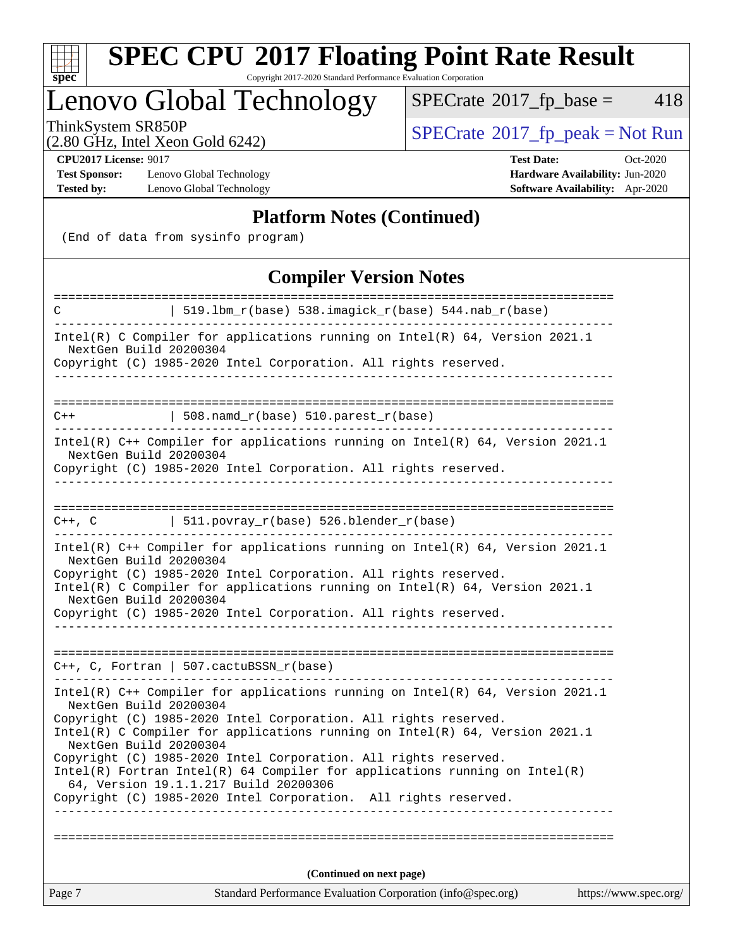

# **[SPEC CPU](http://www.spec.org/auto/cpu2017/Docs/result-fields.html#SPECCPU2017FloatingPointRateResult)[2017 Floating Point Rate Result](http://www.spec.org/auto/cpu2017/Docs/result-fields.html#SPECCPU2017FloatingPointRateResult)**

Copyright 2017-2020 Standard Performance Evaluation Corporation

### Lenovo Global Technology

 $SPECTate@2017_fp\_base = 418$ 

(2.80 GHz, Intel Xeon Gold 6242)

ThinkSystem SR850P<br>  $(2.80 \text{ GHz})$  Intel Xeon Gold 6242)

**[Test Sponsor:](http://www.spec.org/auto/cpu2017/Docs/result-fields.html#TestSponsor)** Lenovo Global Technology **[Hardware Availability:](http://www.spec.org/auto/cpu2017/Docs/result-fields.html#HardwareAvailability)** Jun-2020 **[Tested by:](http://www.spec.org/auto/cpu2017/Docs/result-fields.html#Testedby)** Lenovo Global Technology **[Software Availability:](http://www.spec.org/auto/cpu2017/Docs/result-fields.html#SoftwareAvailability)** Apr-2020

**[CPU2017 License:](http://www.spec.org/auto/cpu2017/Docs/result-fields.html#CPU2017License)** 9017 **[Test Date:](http://www.spec.org/auto/cpu2017/Docs/result-fields.html#TestDate)** Oct-2020

#### **[Platform Notes \(Continued\)](http://www.spec.org/auto/cpu2017/Docs/result-fields.html#PlatformNotes)**

(End of data from sysinfo program)

#### **[Compiler Version Notes](http://www.spec.org/auto/cpu2017/Docs/result-fields.html#CompilerVersionNotes)**

| =====================<br>C                                                                                                                                                 | :==============<br>=======================<br>  519.1bm_r(base) 538.imagick_r(base) 544.nab_r(base)                                                                                                                                |                       |  |  |  |
|----------------------------------------------------------------------------------------------------------------------------------------------------------------------------|------------------------------------------------------------------------------------------------------------------------------------------------------------------------------------------------------------------------------------|-----------------------|--|--|--|
|                                                                                                                                                                            |                                                                                                                                                                                                                                    |                       |  |  |  |
| Intel(R) C Compiler for applications running on $Intel(R)$ 64, Version 2021.1<br>NextGen Build 20200304<br>Copyright (C) 1985-2020 Intel Corporation. All rights reserved. |                                                                                                                                                                                                                                    |                       |  |  |  |
|                                                                                                                                                                            |                                                                                                                                                                                                                                    |                       |  |  |  |
|                                                                                                                                                                            |                                                                                                                                                                                                                                    |                       |  |  |  |
| $C++$                                                                                                                                                                      | 508. $n$ amd_r(base) 510. $parest$ _r(base)                                                                                                                                                                                        |                       |  |  |  |
| NextGen Build 20200304                                                                                                                                                     | Intel(R) C++ Compiler for applications running on Intel(R) 64, Version 2021.1<br>Copyright (C) 1985-2020 Intel Corporation. All rights reserved.                                                                                   |                       |  |  |  |
|                                                                                                                                                                            |                                                                                                                                                                                                                                    |                       |  |  |  |
|                                                                                                                                                                            | $C++$ , C $\qquad \qquad$ 511.povray_r(base) 526.blender_r(base)                                                                                                                                                                   |                       |  |  |  |
| NextGen Build 20200304<br>NextGen Build 20200304                                                                                                                           | Intel(R) C++ Compiler for applications running on Intel(R) 64, Version 2021.1<br>Copyright (C) 1985-2020 Intel Corporation. All rights reserved.<br>Intel(R) C Compiler for applications running on $Intel(R) 64$ , Version 2021.1 |                       |  |  |  |
|                                                                                                                                                                            | Copyright (C) 1985-2020 Intel Corporation. All rights reserved.                                                                                                                                                                    |                       |  |  |  |
|                                                                                                                                                                            |                                                                                                                                                                                                                                    |                       |  |  |  |
|                                                                                                                                                                            | $C++$ , C, Fortran   507.cactuBSSN_r(base)                                                                                                                                                                                         |                       |  |  |  |
| NextGen Build 20200304                                                                                                                                                     | Intel(R) $C++$ Compiler for applications running on Intel(R) 64, Version 2021.1<br>Copyright (C) 1985-2020 Intel Corporation. All rights reserved.                                                                                 |                       |  |  |  |
| NextGen Build 20200304                                                                                                                                                     | Intel(R) C Compiler for applications running on $Intel(R) 64$ , Version 2021.1                                                                                                                                                     |                       |  |  |  |
|                                                                                                                                                                            | Copyright (C) 1985-2020 Intel Corporation. All rights reserved.                                                                                                                                                                    |                       |  |  |  |
|                                                                                                                                                                            | $Intel(R)$ Fortran Intel(R) 64 Compiler for applications running on Intel(R)<br>64, Version 19.1.1.217 Build 20200306                                                                                                              |                       |  |  |  |
|                                                                                                                                                                            | Copyright (C) 1985-2020 Intel Corporation. All rights reserved.                                                                                                                                                                    |                       |  |  |  |
|                                                                                                                                                                            |                                                                                                                                                                                                                                    |                       |  |  |  |
|                                                                                                                                                                            |                                                                                                                                                                                                                                    |                       |  |  |  |
|                                                                                                                                                                            | (Continued on next page)                                                                                                                                                                                                           |                       |  |  |  |
| Page 7                                                                                                                                                                     | Standard Performance Evaluation Corporation (info@spec.org)                                                                                                                                                                        | https://www.spec.org/ |  |  |  |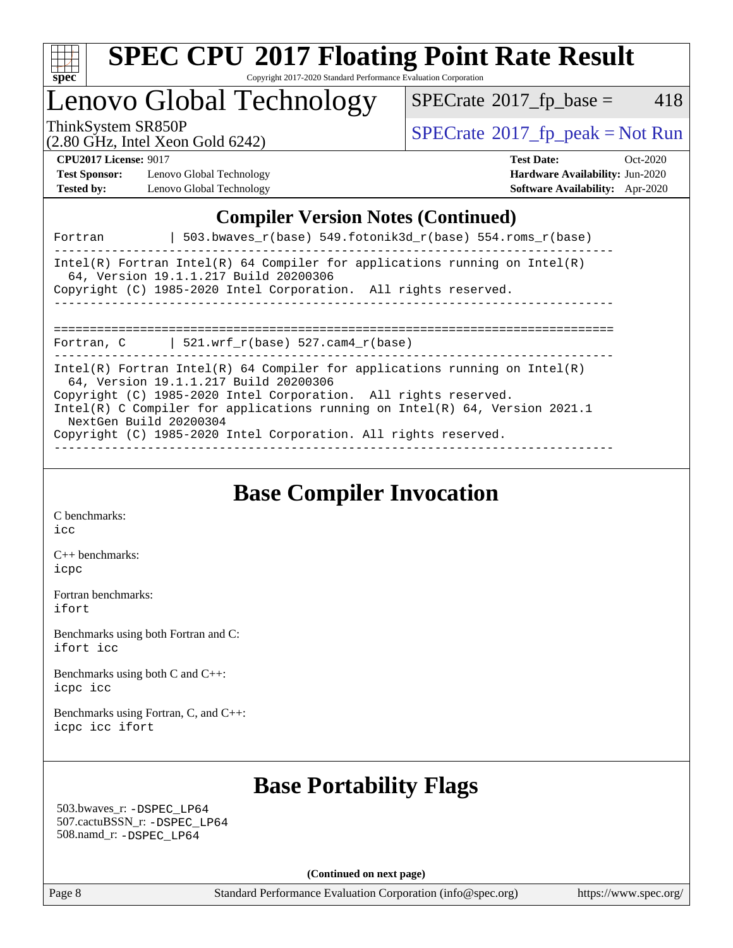

## Lenovo Global Technology

 $SPECTate@2017_fp\_base = 418$ 

(2.80 GHz, Intel Xeon Gold 6242)

ThinkSystem SR850P<br>  $\begin{array}{c}\n\text{SPECrate} \textcirc 2017\_fp\_peak = Not Run \\
\text{SPECrate} \textcirc 2017\_fp\_peak = Not Run\n\end{array}$  $\begin{array}{c}\n\text{SPECrate} \textcirc 2017\_fp\_peak = Not Run \\
\text{SPECrate} \textcirc 2017\_fp\_peak = Not Run\n\end{array}$  $\begin{array}{c}\n\text{SPECrate} \textcirc 2017\_fp\_peak = Not Run \\
\text{SPECrate} \textcirc 2017\_fp\_peak = Not Run\n\end{array}$ 

**[Test Sponsor:](http://www.spec.org/auto/cpu2017/Docs/result-fields.html#TestSponsor)** Lenovo Global Technology **[Hardware Availability:](http://www.spec.org/auto/cpu2017/Docs/result-fields.html#HardwareAvailability)** Jun-2020 **[Tested by:](http://www.spec.org/auto/cpu2017/Docs/result-fields.html#Testedby)** Lenovo Global Technology **[Software Availability:](http://www.spec.org/auto/cpu2017/Docs/result-fields.html#SoftwareAvailability)** Apr-2020

**[CPU2017 License:](http://www.spec.org/auto/cpu2017/Docs/result-fields.html#CPU2017License)** 9017 **[Test Date:](http://www.spec.org/auto/cpu2017/Docs/result-fields.html#TestDate)** Oct-2020

### **[Compiler Version Notes \(Continued\)](http://www.spec.org/auto/cpu2017/Docs/result-fields.html#CompilerVersionNotes)**

| Fortran                | 503.bwaves r(base) 549.fotonik3d r(base) 554.roms r(base)                                                                                                                                                                                                                                                                                   |
|------------------------|---------------------------------------------------------------------------------------------------------------------------------------------------------------------------------------------------------------------------------------------------------------------------------------------------------------------------------------------|
|                        | Intel(R) Fortran Intel(R) 64 Compiler for applications running on Intel(R)<br>64, Version 19.1.1.217 Build 20200306<br>Copyright (C) 1985-2020 Intel Corporation. All rights reserved.                                                                                                                                                      |
|                        | Fortran, C $\vert$ 521.wrf_r(base) 527.cam4_r(base)                                                                                                                                                                                                                                                                                         |
| NextGen Build 20200304 | Intel(R) Fortran Intel(R) 64 Compiler for applications running on Intel(R)<br>64, Version 19.1.1.217 Build 20200306<br>Copyright (C) 1985-2020 Intel Corporation. All rights reserved.<br>Intel(R) C Compiler for applications running on Intel(R) $64$ , Version 2021.1<br>Copyright (C) 1985-2020 Intel Corporation. All rights reserved. |

**[Base Compiler Invocation](http://www.spec.org/auto/cpu2017/Docs/result-fields.html#BaseCompilerInvocation)**

[C benchmarks](http://www.spec.org/auto/cpu2017/Docs/result-fields.html#Cbenchmarks): [icc](http://www.spec.org/cpu2017/results/res2020q4/cpu2017-20201026-24286.flags.html#user_CCbase_intel_icc_66fc1ee009f7361af1fbd72ca7dcefbb700085f36577c54f309893dd4ec40d12360134090235512931783d35fd58c0460139e722d5067c5574d8eaf2b3e37e92)

[C++ benchmarks:](http://www.spec.org/auto/cpu2017/Docs/result-fields.html#CXXbenchmarks) [icpc](http://www.spec.org/cpu2017/results/res2020q4/cpu2017-20201026-24286.flags.html#user_CXXbase_intel_icpc_c510b6838c7f56d33e37e94d029a35b4a7bccf4766a728ee175e80a419847e808290a9b78be685c44ab727ea267ec2f070ec5dc83b407c0218cded6866a35d07)

[Fortran benchmarks](http://www.spec.org/auto/cpu2017/Docs/result-fields.html#Fortranbenchmarks): [ifort](http://www.spec.org/cpu2017/results/res2020q4/cpu2017-20201026-24286.flags.html#user_FCbase_intel_ifort_8111460550e3ca792625aed983ce982f94888b8b503583aa7ba2b8303487b4d8a21a13e7191a45c5fd58ff318f48f9492884d4413fa793fd88dd292cad7027ca)

[Benchmarks using both Fortran and C](http://www.spec.org/auto/cpu2017/Docs/result-fields.html#BenchmarksusingbothFortranandC): [ifort](http://www.spec.org/cpu2017/results/res2020q4/cpu2017-20201026-24286.flags.html#user_CC_FCbase_intel_ifort_8111460550e3ca792625aed983ce982f94888b8b503583aa7ba2b8303487b4d8a21a13e7191a45c5fd58ff318f48f9492884d4413fa793fd88dd292cad7027ca) [icc](http://www.spec.org/cpu2017/results/res2020q4/cpu2017-20201026-24286.flags.html#user_CC_FCbase_intel_icc_66fc1ee009f7361af1fbd72ca7dcefbb700085f36577c54f309893dd4ec40d12360134090235512931783d35fd58c0460139e722d5067c5574d8eaf2b3e37e92)

[Benchmarks using both C and C++](http://www.spec.org/auto/cpu2017/Docs/result-fields.html#BenchmarksusingbothCandCXX): [icpc](http://www.spec.org/cpu2017/results/res2020q4/cpu2017-20201026-24286.flags.html#user_CC_CXXbase_intel_icpc_c510b6838c7f56d33e37e94d029a35b4a7bccf4766a728ee175e80a419847e808290a9b78be685c44ab727ea267ec2f070ec5dc83b407c0218cded6866a35d07) [icc](http://www.spec.org/cpu2017/results/res2020q4/cpu2017-20201026-24286.flags.html#user_CC_CXXbase_intel_icc_66fc1ee009f7361af1fbd72ca7dcefbb700085f36577c54f309893dd4ec40d12360134090235512931783d35fd58c0460139e722d5067c5574d8eaf2b3e37e92)

[Benchmarks using Fortran, C, and C++:](http://www.spec.org/auto/cpu2017/Docs/result-fields.html#BenchmarksusingFortranCandCXX) [icpc](http://www.spec.org/cpu2017/results/res2020q4/cpu2017-20201026-24286.flags.html#user_CC_CXX_FCbase_intel_icpc_c510b6838c7f56d33e37e94d029a35b4a7bccf4766a728ee175e80a419847e808290a9b78be685c44ab727ea267ec2f070ec5dc83b407c0218cded6866a35d07) [icc](http://www.spec.org/cpu2017/results/res2020q4/cpu2017-20201026-24286.flags.html#user_CC_CXX_FCbase_intel_icc_66fc1ee009f7361af1fbd72ca7dcefbb700085f36577c54f309893dd4ec40d12360134090235512931783d35fd58c0460139e722d5067c5574d8eaf2b3e37e92) [ifort](http://www.spec.org/cpu2017/results/res2020q4/cpu2017-20201026-24286.flags.html#user_CC_CXX_FCbase_intel_ifort_8111460550e3ca792625aed983ce982f94888b8b503583aa7ba2b8303487b4d8a21a13e7191a45c5fd58ff318f48f9492884d4413fa793fd88dd292cad7027ca)

### **[Base Portability Flags](http://www.spec.org/auto/cpu2017/Docs/result-fields.html#BasePortabilityFlags)**

 503.bwaves\_r: [-DSPEC\\_LP64](http://www.spec.org/cpu2017/results/res2020q4/cpu2017-20201026-24286.flags.html#suite_basePORTABILITY503_bwaves_r_DSPEC_LP64) 507.cactuBSSN\_r: [-DSPEC\\_LP64](http://www.spec.org/cpu2017/results/res2020q4/cpu2017-20201026-24286.flags.html#suite_basePORTABILITY507_cactuBSSN_r_DSPEC_LP64) 508.namd\_r: [-DSPEC\\_LP64](http://www.spec.org/cpu2017/results/res2020q4/cpu2017-20201026-24286.flags.html#suite_basePORTABILITY508_namd_r_DSPEC_LP64)

**(Continued on next page)**

Page 8 Standard Performance Evaluation Corporation [\(info@spec.org\)](mailto:info@spec.org) <https://www.spec.org/>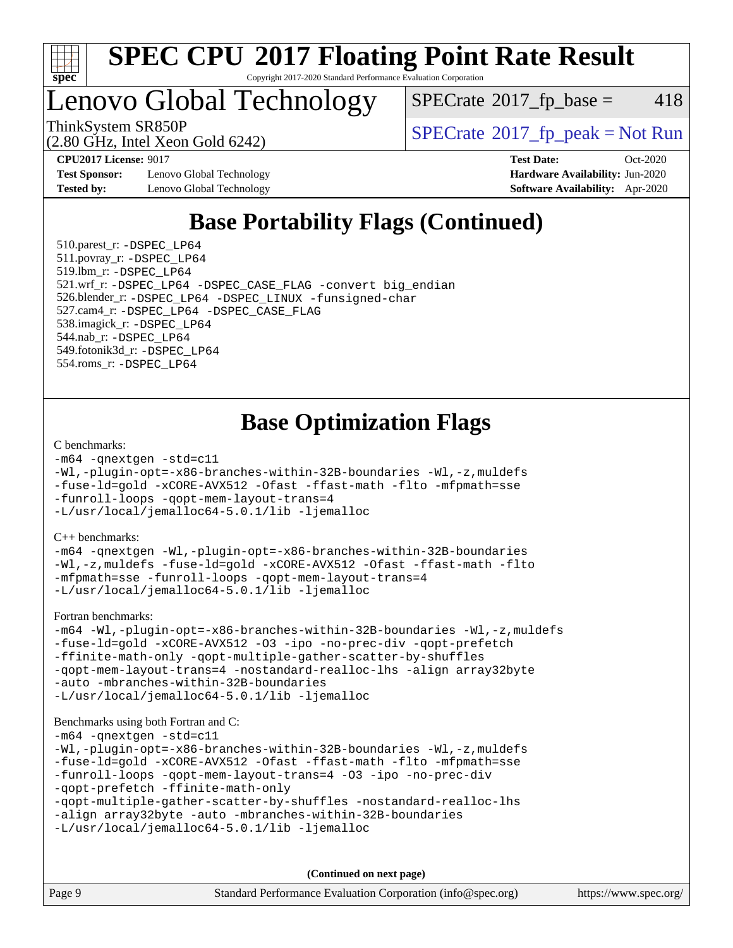

### Lenovo Global Technology

 $SPECTate@2017<sub>fr</sub> base = 418$ 

(2.80 GHz, Intel Xeon Gold 6242)

ThinkSystem SR850P<br>  $(2.80 \text{ GHz} \text{ Intel } \text{Yoon} \text{ Gold } 6242)$  [SPECrate](http://www.spec.org/auto/cpu2017/Docs/result-fields.html#SPECrate2017fppeak)®[2017\\_fp\\_peak = N](http://www.spec.org/auto/cpu2017/Docs/result-fields.html#SPECrate2017fppeak)ot Run

**[Test Sponsor:](http://www.spec.org/auto/cpu2017/Docs/result-fields.html#TestSponsor)** Lenovo Global Technology **[Hardware Availability:](http://www.spec.org/auto/cpu2017/Docs/result-fields.html#HardwareAvailability)** Jun-2020 **[Tested by:](http://www.spec.org/auto/cpu2017/Docs/result-fields.html#Testedby)** Lenovo Global Technology **[Software Availability:](http://www.spec.org/auto/cpu2017/Docs/result-fields.html#SoftwareAvailability)** Apr-2020

**[CPU2017 License:](http://www.spec.org/auto/cpu2017/Docs/result-fields.html#CPU2017License)** 9017 **[Test Date:](http://www.spec.org/auto/cpu2017/Docs/result-fields.html#TestDate)** Oct-2020

### **[Base Portability Flags \(Continued\)](http://www.spec.org/auto/cpu2017/Docs/result-fields.html#BasePortabilityFlags)**

 510.parest\_r: [-DSPEC\\_LP64](http://www.spec.org/cpu2017/results/res2020q4/cpu2017-20201026-24286.flags.html#suite_basePORTABILITY510_parest_r_DSPEC_LP64) 511.povray\_r: [-DSPEC\\_LP64](http://www.spec.org/cpu2017/results/res2020q4/cpu2017-20201026-24286.flags.html#suite_basePORTABILITY511_povray_r_DSPEC_LP64) 519.lbm\_r: [-DSPEC\\_LP64](http://www.spec.org/cpu2017/results/res2020q4/cpu2017-20201026-24286.flags.html#suite_basePORTABILITY519_lbm_r_DSPEC_LP64) 521.wrf\_r: [-DSPEC\\_LP64](http://www.spec.org/cpu2017/results/res2020q4/cpu2017-20201026-24286.flags.html#suite_basePORTABILITY521_wrf_r_DSPEC_LP64) [-DSPEC\\_CASE\\_FLAG](http://www.spec.org/cpu2017/results/res2020q4/cpu2017-20201026-24286.flags.html#b521.wrf_r_baseCPORTABILITY_DSPEC_CASE_FLAG) [-convert big\\_endian](http://www.spec.org/cpu2017/results/res2020q4/cpu2017-20201026-24286.flags.html#user_baseFPORTABILITY521_wrf_r_convert_big_endian_c3194028bc08c63ac5d04de18c48ce6d347e4e562e8892b8bdbdc0214820426deb8554edfa529a3fb25a586e65a3d812c835984020483e7e73212c4d31a38223) 526.blender\_r: [-DSPEC\\_LP64](http://www.spec.org/cpu2017/results/res2020q4/cpu2017-20201026-24286.flags.html#suite_basePORTABILITY526_blender_r_DSPEC_LP64) [-DSPEC\\_LINUX](http://www.spec.org/cpu2017/results/res2020q4/cpu2017-20201026-24286.flags.html#b526.blender_r_baseCPORTABILITY_DSPEC_LINUX) [-funsigned-char](http://www.spec.org/cpu2017/results/res2020q4/cpu2017-20201026-24286.flags.html#user_baseCPORTABILITY526_blender_r_force_uchar_40c60f00ab013830e2dd6774aeded3ff59883ba5a1fc5fc14077f794d777847726e2a5858cbc7672e36e1b067e7e5c1d9a74f7176df07886a243d7cc18edfe67) 527.cam4\_r: [-DSPEC\\_LP64](http://www.spec.org/cpu2017/results/res2020q4/cpu2017-20201026-24286.flags.html#suite_basePORTABILITY527_cam4_r_DSPEC_LP64) [-DSPEC\\_CASE\\_FLAG](http://www.spec.org/cpu2017/results/res2020q4/cpu2017-20201026-24286.flags.html#b527.cam4_r_baseCPORTABILITY_DSPEC_CASE_FLAG) 538.imagick\_r: [-DSPEC\\_LP64](http://www.spec.org/cpu2017/results/res2020q4/cpu2017-20201026-24286.flags.html#suite_basePORTABILITY538_imagick_r_DSPEC_LP64) 544.nab\_r: [-DSPEC\\_LP64](http://www.spec.org/cpu2017/results/res2020q4/cpu2017-20201026-24286.flags.html#suite_basePORTABILITY544_nab_r_DSPEC_LP64) 549.fotonik3d\_r: [-DSPEC\\_LP64](http://www.spec.org/cpu2017/results/res2020q4/cpu2017-20201026-24286.flags.html#suite_basePORTABILITY549_fotonik3d_r_DSPEC_LP64) 554.roms\_r: [-DSPEC\\_LP64](http://www.spec.org/cpu2017/results/res2020q4/cpu2017-20201026-24286.flags.html#suite_basePORTABILITY554_roms_r_DSPEC_LP64)

### **[Base Optimization Flags](http://www.spec.org/auto/cpu2017/Docs/result-fields.html#BaseOptimizationFlags)**

#### [C benchmarks](http://www.spec.org/auto/cpu2017/Docs/result-fields.html#Cbenchmarks):

```
-m64 -qnextgen -std=c11
-Wl,-plugin-opt=-x86-branches-within-32B-boundaries -Wl,-z,muldefs
-fuse-ld=gold -xCORE-AVX512 -Ofast -ffast-math -flto -mfpmath=sse
-funroll-loops -qopt-mem-layout-trans=4
-L/usr/local/jemalloc64-5.0.1/lib -ljemalloc
```
[C++ benchmarks:](http://www.spec.org/auto/cpu2017/Docs/result-fields.html#CXXbenchmarks)

[-m64](http://www.spec.org/cpu2017/results/res2020q4/cpu2017-20201026-24286.flags.html#user_CXXbase_m64-icc) [-qnextgen](http://www.spec.org/cpu2017/results/res2020q4/cpu2017-20201026-24286.flags.html#user_CXXbase_f-qnextgen) [-Wl,-plugin-opt=-x86-branches-within-32B-boundaries](http://www.spec.org/cpu2017/results/res2020q4/cpu2017-20201026-24286.flags.html#user_CXXbase_f-x86-branches-within-32B-boundaries_0098b4e4317ae60947b7b728078a624952a08ac37a3c797dfb4ffeb399e0c61a9dd0f2f44ce917e9361fb9076ccb15e7824594512dd315205382d84209e912f3) [-Wl,-z,muldefs](http://www.spec.org/cpu2017/results/res2020q4/cpu2017-20201026-24286.flags.html#user_CXXbase_link_force_multiple1_b4cbdb97b34bdee9ceefcfe54f4c8ea74255f0b02a4b23e853cdb0e18eb4525ac79b5a88067c842dd0ee6996c24547a27a4b99331201badda8798ef8a743f577) [-fuse-ld=gold](http://www.spec.org/cpu2017/results/res2020q4/cpu2017-20201026-24286.flags.html#user_CXXbase_f-fuse-ld_920b3586e2b8c6e0748b9c84fa9b744736ba725a32cab14ad8f3d4ad28eecb2f59d1144823d2e17006539a88734fe1fc08fc3035f7676166309105a78aaabc32) [-xCORE-AVX512](http://www.spec.org/cpu2017/results/res2020q4/cpu2017-20201026-24286.flags.html#user_CXXbase_f-xCORE-AVX512) [-Ofast](http://www.spec.org/cpu2017/results/res2020q4/cpu2017-20201026-24286.flags.html#user_CXXbase_f-Ofast) [-ffast-math](http://www.spec.org/cpu2017/results/res2020q4/cpu2017-20201026-24286.flags.html#user_CXXbase_f-ffast-math) [-flto](http://www.spec.org/cpu2017/results/res2020q4/cpu2017-20201026-24286.flags.html#user_CXXbase_f-flto) [-mfpmath=sse](http://www.spec.org/cpu2017/results/res2020q4/cpu2017-20201026-24286.flags.html#user_CXXbase_f-mfpmath_70eb8fac26bde974f8ab713bc9086c5621c0b8d2f6c86f38af0bd7062540daf19db5f3a066d8c6684be05d84c9b6322eb3b5be6619d967835195b93d6c02afa1) [-funroll-loops](http://www.spec.org/cpu2017/results/res2020q4/cpu2017-20201026-24286.flags.html#user_CXXbase_f-funroll-loops) [-qopt-mem-layout-trans=4](http://www.spec.org/cpu2017/results/res2020q4/cpu2017-20201026-24286.flags.html#user_CXXbase_f-qopt-mem-layout-trans_fa39e755916c150a61361b7846f310bcdf6f04e385ef281cadf3647acec3f0ae266d1a1d22d972a7087a248fd4e6ca390a3634700869573d231a252c784941a8) [-L/usr/local/jemalloc64-5.0.1/lib](http://www.spec.org/cpu2017/results/res2020q4/cpu2017-20201026-24286.flags.html#user_CXXbase_jemalloc_link_path64_1_cc289568b1a6c0fd3b62c91b824c27fcb5af5e8098e6ad028160d21144ef1b8aef3170d2acf0bee98a8da324cfe4f67d0a3d0c4cc4673d993d694dc2a0df248b) [-ljemalloc](http://www.spec.org/cpu2017/results/res2020q4/cpu2017-20201026-24286.flags.html#user_CXXbase_jemalloc_link_lib_d1249b907c500fa1c0672f44f562e3d0f79738ae9e3c4a9c376d49f265a04b9c99b167ecedbf6711b3085be911c67ff61f150a17b3472be731631ba4d0471706)

[Fortran benchmarks](http://www.spec.org/auto/cpu2017/Docs/result-fields.html#Fortranbenchmarks):

```
-m64 -Wl,-plugin-opt=-x86-branches-within-32B-boundaries -Wl,-z,muldefs
-fuse-ld=gold -xCORE-AVX512 -O3 -ipo -no-prec-div -qopt-prefetch
-ffinite-math-only -qopt-multiple-gather-scatter-by-shuffles
-qopt-mem-layout-trans=4 -nostandard-realloc-lhs -align array32byte
-auto -mbranches-within-32B-boundaries
-L/usr/local/jemalloc64-5.0.1/lib -ljemalloc
```
#### [Benchmarks using both Fortran and C](http://www.spec.org/auto/cpu2017/Docs/result-fields.html#BenchmarksusingbothFortranandC):

```
-m64 -qnextgen -std=c11
-Wl,-plugin-opt=-x86-branches-within-32B-boundaries -Wl,-z,muldefs
-fuse-ld=gold -xCORE-AVX512 -Ofast -ffast-math -flto -mfpmath=sse
-funroll-loops -qopt-mem-layout-trans=4 -O3 -ipo -no-prec-div
-qopt-prefetch -ffinite-math-only
-qopt-multiple-gather-scatter-by-shuffles -nostandard-realloc-lhs
-align array32byte -auto -mbranches-within-32B-boundaries
-L/usr/local/jemalloc64-5.0.1/lib -ljemalloc
```
**(Continued on next page)**

| Page 9 | Standard Performance Evaluation Corporation (info@spec.org) | https://www.spec.org/ |
|--------|-------------------------------------------------------------|-----------------------|
|--------|-------------------------------------------------------------|-----------------------|